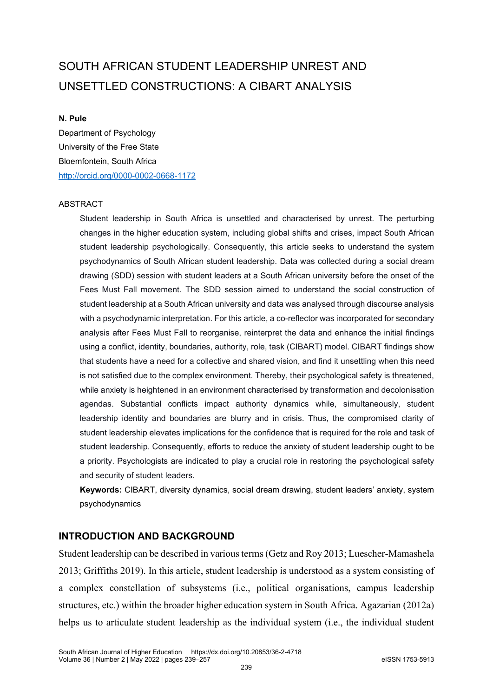# SOUTH AFRICAN STUDENT LEADERSHIP UNREST AND UNSETTLED CONSTRUCTIONS: A CIBART ANALYSIS

## **N. Pule**

Department of Psychology University of the Free State Bloemfontein, South Africa <http://orcid.org/0000-0002-0668-1172>

## ABSTRACT

Student leadership in South Africa is unsettled and characterised by unrest. The perturbing changes in the higher education system, including global shifts and crises, impact South African student leadership psychologically. Consequently, this article seeks to understand the system psychodynamics of South African student leadership. Data was collected during a social dream drawing (SDD) session with student leaders at a South African university before the onset of the Fees Must Fall movement. The SDD session aimed to understand the social construction of student leadership at a South African university and data was analysed through discourse analysis with a psychodynamic interpretation. For this article, a co-reflector was incorporated for secondary analysis after Fees Must Fall to reorganise, reinterpret the data and enhance the initial findings using a conflict, identity, boundaries, authority, role, task (CIBART) model. CIBART findings show that students have a need for a collective and shared vision, and find it unsettling when this need is not satisfied due to the complex environment. Thereby, their psychological safety is threatened, while anxiety is heightened in an environment characterised by transformation and decolonisation agendas. Substantial conflicts impact authority dynamics while, simultaneously, student leadership identity and boundaries are blurry and in crisis. Thus, the compromised clarity of student leadership elevates implications for the confidence that is required for the role and task of student leadership. Consequently, efforts to reduce the anxiety of student leadership ought to be a priority. Psychologists are indicated to play a crucial role in restoring the psychological safety and security of student leaders.

**Keywords:** CIBART, diversity dynamics, social dream drawing, student leaders' anxiety, system psychodynamics

## **INTRODUCTION AND BACKGROUND**

Student leadership can be described in various terms (Getz and Roy 2013; Luescher-Mamashela 2013; Griffiths 2019). In this article, student leadership is understood as a system consisting of a complex constellation of subsystems (i.e., political organisations, campus leadership structures, etc.) within the broader higher education system in South Africa. Agazarian (2012a) helps us to articulate student leadership as the individual system (i.e., the individual student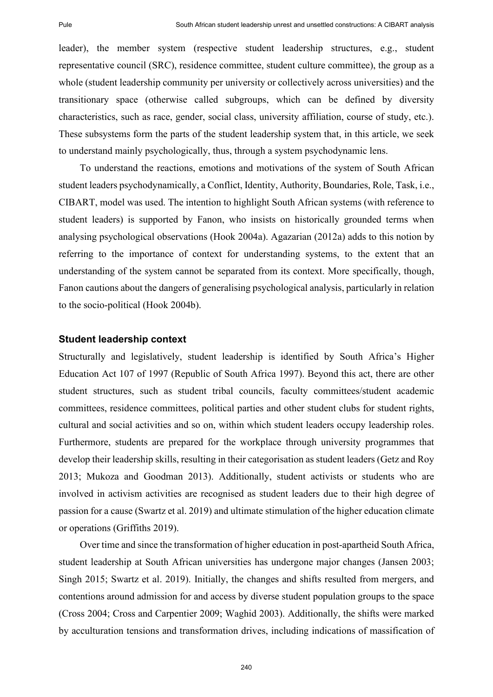leader), the member system (respective student leadership structures, e.g., student representative council (SRC), residence committee, student culture committee), the group as a whole (student leadership community per university or collectively across universities) and the transitionary space (otherwise called subgroups, which can be defined by diversity characteristics, such as race, gender, social class, university affiliation, course of study, etc.). These subsystems form the parts of the student leadership system that, in this article, we seek to understand mainly psychologically, thus, through a system psychodynamic lens.

To understand the reactions, emotions and motivations of the system of South African student leaders psychodynamically, a Conflict, Identity, Authority, Boundaries, Role, Task, i.e., CIBART, model was used. The intention to highlight South African systems (with reference to student leaders) is supported by Fanon, who insists on historically grounded terms when analysing psychological observations (Hook 2004a). Agazarian (2012a) adds to this notion by referring to the importance of context for understanding systems, to the extent that an understanding of the system cannot be separated from its context. More specifically, though, Fanon cautions about the dangers of generalising psychological analysis, particularly in relation to the socio-political (Hook 2004b).

### **Student leadership context**

Structurally and legislatively, student leadership is identified by South Africa's Higher Education Act 107 of 1997 (Republic of South Africa 1997). Beyond this act, there are other student structures, such as student tribal councils, faculty committees/student academic committees, residence committees, political parties and other student clubs for student rights, cultural and social activities and so on, within which student leaders occupy leadership roles. Furthermore, students are prepared for the workplace through university programmes that develop their leadership skills, resulting in their categorisation as student leaders (Getz and Roy 2013; Mukoza and Goodman 2013). Additionally, student activists or students who are involved in activism activities are recognised as student leaders due to their high degree of passion for a cause (Swartz et al. 2019) and ultimate stimulation of the higher education climate or operations (Griffiths 2019).

Over time and since the transformation of higher education in post-apartheid South Africa, student leadership at South African universities has undergone major changes (Jansen 2003; Singh 2015; Swartz et al. 2019). Initially, the changes and shifts resulted from mergers, and contentions around admission for and access by diverse student population groups to the space (Cross 2004; Cross and Carpentier 2009; Waghid 2003). Additionally, the shifts were marked by acculturation tensions and transformation drives, including indications of massification of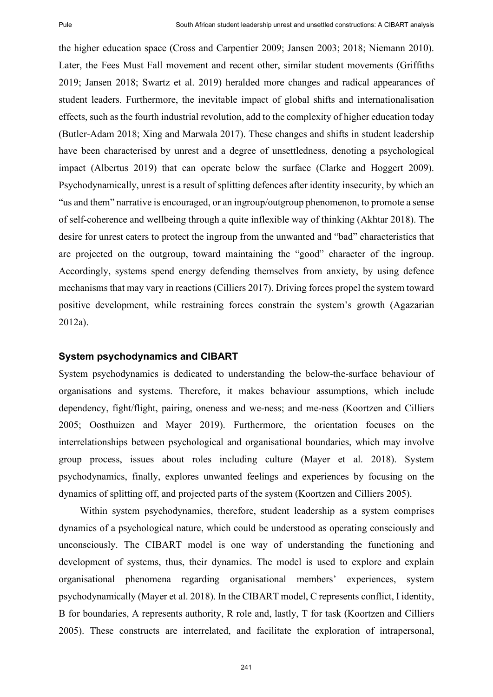the higher education space (Cross and Carpentier 2009; Jansen 2003; 2018; Niemann 2010). Later, the Fees Must Fall movement and recent other, similar student movements (Griffiths 2019; Jansen 2018; Swartz et al. 2019) heralded more changes and radical appearances of student leaders. Furthermore, the inevitable impact of global shifts and internationalisation effects, such as the fourth industrial revolution, add to the complexity of higher education today (Butler-Adam 2018; Xing and Marwala 2017). These changes and shifts in student leadership have been characterised by unrest and a degree of unsettledness, denoting a psychological impact (Albertus 2019) that can operate below the surface (Clarke and Hoggert 2009). Psychodynamically, unrest is a result of splitting defences after identity insecurity, by which an "us and them" narrative is encouraged, or an ingroup/outgroup phenomenon, to promote a sense of self-coherence and wellbeing through a quite inflexible way of thinking (Akhtar 2018). The desire for unrest caters to protect the ingroup from the unwanted and "bad" characteristics that are projected on the outgroup, toward maintaining the "good" character of the ingroup. Accordingly, systems spend energy defending themselves from anxiety, by using defence mechanisms that may vary in reactions (Cilliers 2017). Driving forces propel the system toward positive development, while restraining forces constrain the system's growth (Agazarian 2012a).

### **System psychodynamics and CIBART**

System psychodynamics is dedicated to understanding the below-the-surface behaviour of organisations and systems. Therefore, it makes behaviour assumptions, which include dependency, fight/flight, pairing, oneness and we-ness; and me-ness (Koortzen and Cilliers 2005; Oosthuizen and Mayer 2019). Furthermore, the orientation focuses on the interrelationships between psychological and organisational boundaries, which may involve group process, issues about roles including culture (Mayer et al. 2018). System psychodynamics, finally, explores unwanted feelings and experiences by focusing on the dynamics of splitting off, and projected parts of the system (Koortzen and Cilliers 2005).

Within system psychodynamics, therefore, student leadership as a system comprises dynamics of a psychological nature, which could be understood as operating consciously and unconsciously. The CIBART model is one way of understanding the functioning and development of systems, thus, their dynamics. The model is used to explore and explain organisational phenomena regarding organisational members' experiences, system psychodynamically (Mayer et al. 2018). In the CIBART model, C represents conflict, I identity, B for boundaries, A represents authority, R role and, lastly, T for task (Koortzen and Cilliers 2005). These constructs are interrelated, and facilitate the exploration of intrapersonal,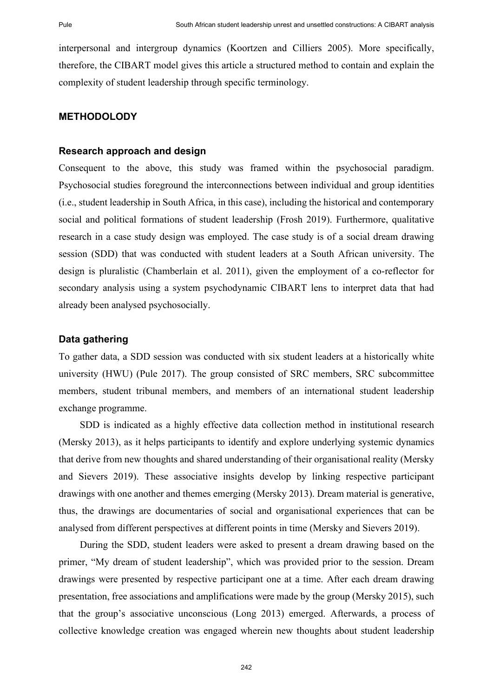interpersonal and intergroup dynamics (Koortzen and Cilliers 2005). More specifically, therefore, the CIBART model gives this article a structured method to contain and explain the complexity of student leadership through specific terminology.

## **METHODOLODY**

#### **Research approach and design**

Consequent to the above, this study was framed within the psychosocial paradigm. Psychosocial studies foreground the interconnections between individual and group identities (i.e., student leadership in South Africa, in this case), including the historical and contemporary social and political formations of student leadership (Frosh 2019). Furthermore, qualitative research in a case study design was employed. The case study is of a social dream drawing session (SDD) that was conducted with student leaders at a South African university. The design is pluralistic (Chamberlain et al. 2011), given the employment of a co-reflector for secondary analysis using a system psychodynamic CIBART lens to interpret data that had already been analysed psychosocially.

## **Data gathering**

To gather data, a SDD session was conducted with six student leaders at a historically white university (HWU) (Pule 2017). The group consisted of SRC members, SRC subcommittee members, student tribunal members, and members of an international student leadership exchange programme.

SDD is indicated as a highly effective data collection method in institutional research (Mersky 2013), as it helps participants to identify and explore underlying systemic dynamics that derive from new thoughts and shared understanding of their organisational reality (Mersky and Sievers 2019). These associative insights develop by linking respective participant drawings with one another and themes emerging (Mersky 2013). Dream material is generative, thus, the drawings are documentaries of social and organisational experiences that can be analysed from different perspectives at different points in time (Mersky and Sievers 2019).

During the SDD, student leaders were asked to present a dream drawing based on the primer, "My dream of student leadership", which was provided prior to the session. Dream drawings were presented by respective participant one at a time. After each dream drawing presentation, free associations and amplifications were made by the group (Mersky 2015), such that the group's associative unconscious (Long 2013) emerged. Afterwards, a process of collective knowledge creation was engaged wherein new thoughts about student leadership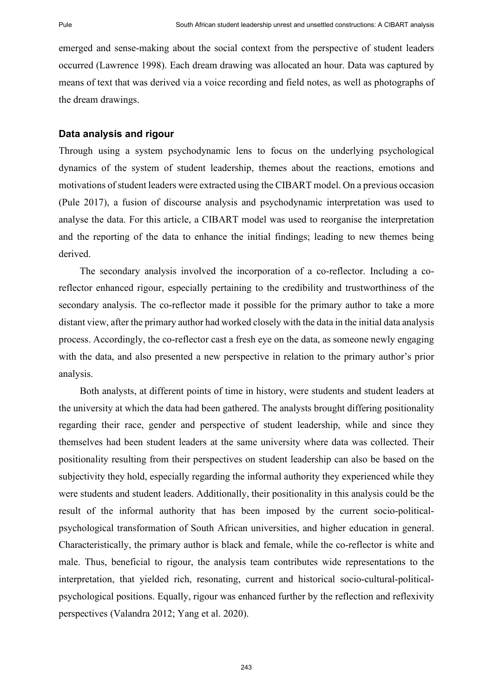emerged and sense-making about the social context from the perspective of student leaders occurred (Lawrence 1998). Each dream drawing was allocated an hour. Data was captured by means of text that was derived via a voice recording and field notes, as well as photographs of the dream drawings.

#### **Data analysis and rigour**

Through using a system psychodynamic lens to focus on the underlying psychological dynamics of the system of student leadership, themes about the reactions, emotions and motivations of student leaders were extracted using the CIBART model. On a previous occasion (Pule 2017), a fusion of discourse analysis and psychodynamic interpretation was used to analyse the data. For this article, a CIBART model was used to reorganise the interpretation and the reporting of the data to enhance the initial findings; leading to new themes being derived.

The secondary analysis involved the incorporation of a co-reflector. Including a coreflector enhanced rigour, especially pertaining to the credibility and trustworthiness of the secondary analysis. The co-reflector made it possible for the primary author to take a more distant view, after the primary author had worked closely with the data in the initial data analysis process. Accordingly, the co-reflector cast a fresh eye on the data, as someone newly engaging with the data, and also presented a new perspective in relation to the primary author's prior analysis.

Both analysts, at different points of time in history, were students and student leaders at the university at which the data had been gathered. The analysts brought differing positionality regarding their race, gender and perspective of student leadership, while and since they themselves had been student leaders at the same university where data was collected. Their positionality resulting from their perspectives on student leadership can also be based on the subjectivity they hold, especially regarding the informal authority they experienced while they were students and student leaders. Additionally, their positionality in this analysis could be the result of the informal authority that has been imposed by the current socio-politicalpsychological transformation of South African universities, and higher education in general. Characteristically, the primary author is black and female, while the co-reflector is white and male. Thus, beneficial to rigour, the analysis team contributes wide representations to the interpretation, that yielded rich, resonating, current and historical socio-cultural-politicalpsychological positions. Equally, rigour was enhanced further by the reflection and reflexivity perspectives (Valandra 2012; Yang et al. 2020).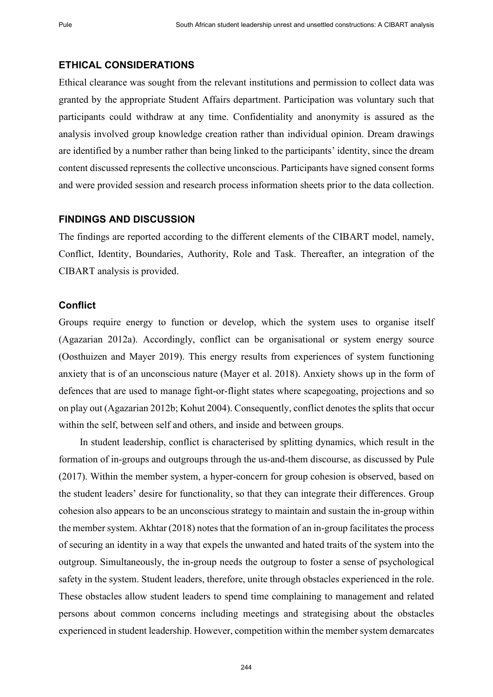#### **ETHICAL CONSIDERATIONS**

Ethical clearance was sought from the relevant institutions and permission to collect data was granted by the appropriate Student Affairs department. Participation was voluntary such that participants could withdraw at any time. Confidentiality and anonymity is assured as the analysis involved group knowledge creation rather than individual opinion. Dream drawings are identified by a number rather than being linked to the participants' identity, since the dream content discussed represents the collective unconscious. Participants have signed consent forms and were provided session and research process information sheets prior to the data collection.

## **FINDINGS AND DISCUSSION**

The findings are reported according to the different elements of the CIBART model, namely, Conflict, Identity, Boundaries, Authority, Role and Task. Thereafter, an integration of the CIBART analysis is provided.

### **Conflict**

Groups require energy to function or develop, which the system uses to organise itself (Agazarian 2012a). Accordingly, conflict can be organisational or system energy source (Oosthuizen and Mayer 2019). This energy results from experiences of system functioning anxiety that is of an unconscious nature (Mayer et al. 2018). Anxiety shows up in the form of defences that are used to manage fight-or-flight states where scapegoating, projections and so on play out (Agazarian 2012b; Kohut 2004). Consequently, conflict denotes the splits that occur within the self, between self and others, and inside and between groups.

In student leadership, conflict is characterised by splitting dynamics, which result in the formation of in-groups and outgroups through the us-and-them discourse, as discussed by Pule (2017). Within the member system, a hyper-concern for group cohesion is observed, based on the student leaders' desire for functionality, so that they can integrate their differences. Group cohesion also appears to be an unconscious strategy to maintain and sustain the in-group within the member system. Akhtar (2018) notes that the formation of an in-group facilitates the process of securing an identity in a way that expels the unwanted and hated traits of the system into the outgroup. Simultaneously, the in-group needs the outgroup to foster a sense of psychological safety in the system. Student leaders, therefore, unite through obstacles experienced in the role. These obstacles allow student leaders to spend time complaining to management and related persons about common concerns including meetings and strategising about the obstacles experienced in student leadership. However, competition within the member system demarcates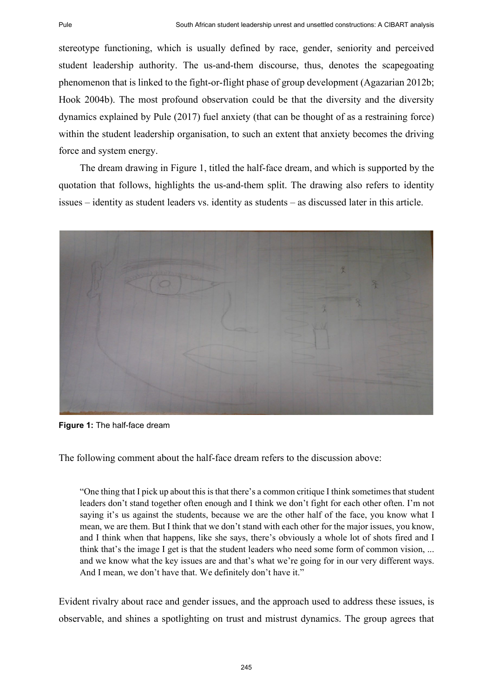stereotype functioning, which is usually defined by race, gender, seniority and perceived student leadership authority. The us-and-them discourse, thus, denotes the scapegoating phenomenon that is linked to the fight-or-flight phase of group development (Agazarian 2012b; Hook 2004b). The most profound observation could be that the diversity and the diversity dynamics explained by Pule (2017) fuel anxiety (that can be thought of as a restraining force) within the student leadership organisation, to such an extent that anxiety becomes the driving force and system energy.

The dream drawing in Figure 1, titled the half-face dream, and which is supported by the quotation that follows, highlights the us-and-them split. The drawing also refers to identity issues – identity as student leaders vs. identity as students – as discussed later in this article.



**Figure 1:** The half-face dream

The following comment about the half-face dream refers to the discussion above:

"One thing that I pick up about this is that there's a common critique I think sometimes that student leaders don't stand together often enough and I think we don't fight for each other often. I'm not saying it's us against the students, because we are the other half of the face, you know what I mean, we are them. But I think that we don't stand with each other for the major issues, you know, and I think when that happens, like she says, there's obviously a whole lot of shots fired and I think that's the image I get is that the student leaders who need some form of common vision, ... and we know what the key issues are and that's what we're going for in our very different ways. And I mean, we don't have that. We definitely don't have it."

Evident rivalry about race and gender issues, and the approach used to address these issues, is observable, and shines a spotlighting on trust and mistrust dynamics. The group agrees that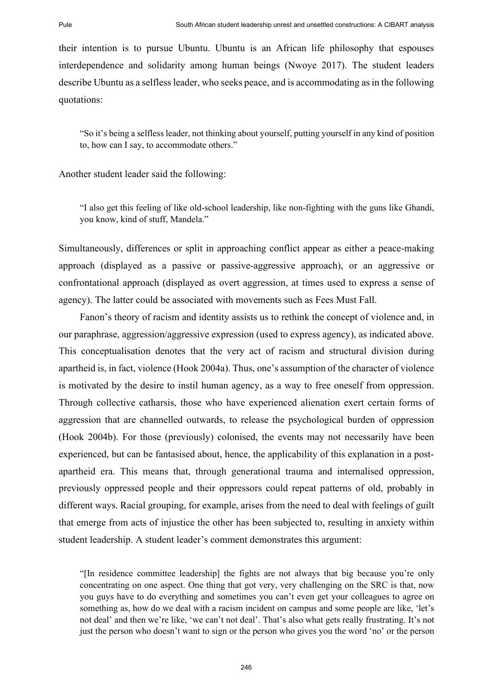their intention is to pursue Ubuntu. Ubuntu is an African life philosophy that espouses interdependence and solidarity among human beings (Nwoye 2017). The student leaders describe Ubuntu as a selfless leader, who seeks peace, and is accommodating as in the following quotations:

"So it's being a selfless leader, not thinking about yourself, putting yourself in any kind of position to, how can I say, to accommodate others."

Another student leader said the following:

"I also get this feeling of like old-school leadership, like non-fighting with the guns like Ghandi, you know, kind of stuff, Mandela."

Simultaneously, differences or split in approaching conflict appear as either a peace-making approach (displayed as a passive or passive-aggressive approach), or an aggressive or confrontational approach (displayed as overt aggression, at times used to express a sense of agency). The latter could be associated with movements such as Fees Must Fall.

Fanon's theory of racism and identity assists us to rethink the concept of violence and, in our paraphrase, aggression/aggressive expression (used to express agency), as indicated above. This conceptualisation denotes that the very act of racism and structural division during apartheid is, in fact, violence (Hook 2004a). Thus, one's assumption of the character of violence is motivated by the desire to instil human agency, as a way to free oneself from oppression. Through collective catharsis, those who have experienced alienation exert certain forms of aggression that are channelled outwards, to release the psychological burden of oppression (Hook 2004b). For those (previously) colonised, the events may not necessarily have been experienced, but can be fantasised about, hence, the applicability of this explanation in a postapartheid era. This means that, through generational trauma and internalised oppression, previously oppressed people and their oppressors could repeat patterns of old, probably in different ways. Racial grouping, for example, arises from the need to deal with feelings of guilt that emerge from acts of injustice the other has been subjected to, resulting in anxiety within student leadership. A student leader's comment demonstrates this argument:

"[In residence committee leadership] the fights are not always that big because you're only concentrating on one aspect. One thing that got very, very challenging on the SRC is that, now you guys have to do everything and sometimes you can't even get your colleagues to agree on something as, how do we deal with a racism incident on campus and some people are like, 'let's not deal' and then we're like, 'we can't not deal'. That's also what gets really frustrating. It's not just the person who doesn't want to sign or the person who gives you the word 'no' or the person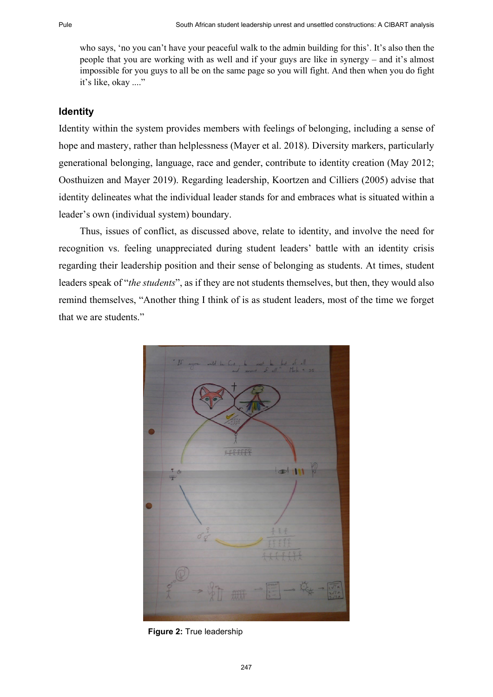who says, 'no you can't have your peaceful walk to the admin building for this'. It's also then the people that you are working with as well and if your guys are like in synergy – and it's almost impossible for you guys to all be on the same page so you will fight. And then when you do fight it's like, okay ...."

## **Identity**

Identity within the system provides members with feelings of belonging, including a sense of hope and mastery, rather than helplessness (Mayer et al. 2018). Diversity markers, particularly generational belonging, language, race and gender, contribute to identity creation (May 2012; Oosthuizen and Mayer 2019). Regarding leadership, Koortzen and Cilliers (2005) advise that identity delineates what the individual leader stands for and embraces what is situated within a leader's own (individual system) boundary.

Thus, issues of conflict, as discussed above, relate to identity, and involve the need for recognition vs. feeling unappreciated during student leaders' battle with an identity crisis regarding their leadership position and their sense of belonging as students. At times, student leaders speak of "*the students*", as if they are not students themselves, but then, they would also remind themselves, "Another thing I think of is as student leaders, most of the time we forget that we are students."



**Figure 2:** True leadership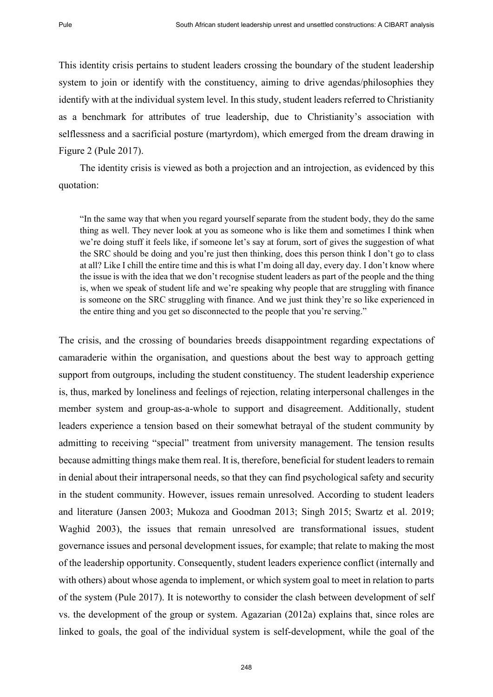This identity crisis pertains to student leaders crossing the boundary of the student leadership system to join or identify with the constituency, aiming to drive agendas/philosophies they identify with at the individual system level. In this study, student leaders referred to Christianity as a benchmark for attributes of true leadership, due to Christianity's association with selflessness and a sacrificial posture (martyrdom), which emerged from the dream drawing in Figure 2 (Pule 2017).

The identity crisis is viewed as both a projection and an introjection, as evidenced by this quotation:

"In the same way that when you regard yourself separate from the student body, they do the same thing as well. They never look at you as someone who is like them and sometimes I think when we're doing stuff it feels like, if someone let's say at forum, sort of gives the suggestion of what the SRC should be doing and you're just then thinking, does this person think I don't go to class at all? Like I chill the entire time and this is what I'm doing all day, every day. I don't know where the issue is with the idea that we don't recognise student leaders as part of the people and the thing is, when we speak of student life and we're speaking why people that are struggling with finance is someone on the SRC struggling with finance. And we just think they're so like experienced in the entire thing and you get so disconnected to the people that you're serving."

The crisis, and the crossing of boundaries breeds disappointment regarding expectations of camaraderie within the organisation, and questions about the best way to approach getting support from outgroups, including the student constituency. The student leadership experience is, thus, marked by loneliness and feelings of rejection, relating interpersonal challenges in the member system and group-as-a-whole to support and disagreement. Additionally, student leaders experience a tension based on their somewhat betrayal of the student community by admitting to receiving "special" treatment from university management. The tension results because admitting things make them real. It is, therefore, beneficial for student leaders to remain in denial about their intrapersonal needs, so that they can find psychological safety and security in the student community. However, issues remain unresolved. According to student leaders and literature (Jansen 2003; Mukoza and Goodman 2013; Singh 2015; Swartz et al. 2019; Waghid 2003), the issues that remain unresolved are transformational issues, student governance issues and personal development issues, for example; that relate to making the most of the leadership opportunity. Consequently, student leaders experience conflict (internally and with others) about whose agenda to implement, or which system goal to meet in relation to parts of the system (Pule 2017). It is noteworthy to consider the clash between development of self vs. the development of the group or system. Agazarian (2012a) explains that, since roles are linked to goals, the goal of the individual system is self-development, while the goal of the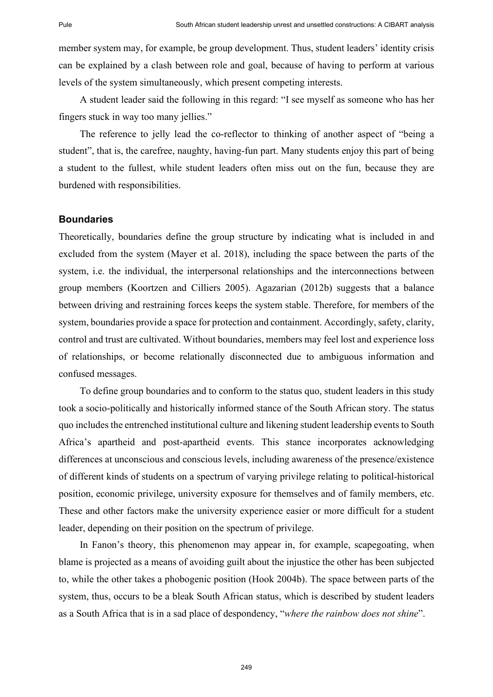member system may, for example, be group development. Thus, student leaders' identity crisis can be explained by a clash between role and goal, because of having to perform at various levels of the system simultaneously, which present competing interests.

A student leader said the following in this regard: "I see myself as someone who has her fingers stuck in way too many jellies."

The reference to jelly lead the co-reflector to thinking of another aspect of "being a student", that is, the carefree, naughty, having-fun part. Many students enjoy this part of being a student to the fullest, while student leaders often miss out on the fun, because they are burdened with responsibilities.

### **Boundaries**

Theoretically, boundaries define the group structure by indicating what is included in and excluded from the system (Mayer et al. 2018), including the space between the parts of the system, i.e. the individual, the interpersonal relationships and the interconnections between group members (Koortzen and Cilliers 2005). Agazarian (2012b) suggests that a balance between driving and restraining forces keeps the system stable. Therefore, for members of the system, boundaries provide a space for protection and containment. Accordingly, safety, clarity, control and trust are cultivated. Without boundaries, members may feel lost and experience loss of relationships, or become relationally disconnected due to ambiguous information and confused messages.

To define group boundaries and to conform to the status quo, student leaders in this study took a socio-politically and historically informed stance of the South African story. The status quo includes the entrenched institutional culture and likening student leadership events to South Africa's apartheid and post-apartheid events. This stance incorporates acknowledging differences at unconscious and conscious levels, including awareness of the presence/existence of different kinds of students on a spectrum of varying privilege relating to political-historical position, economic privilege, university exposure for themselves and of family members, etc. These and other factors make the university experience easier or more difficult for a student leader, depending on their position on the spectrum of privilege.

In Fanon's theory, this phenomenon may appear in, for example, scapegoating, when blame is projected as a means of avoiding guilt about the injustice the other has been subjected to, while the other takes a phobogenic position (Hook 2004b). The space between parts of the system, thus, occurs to be a bleak South African status, which is described by student leaders as a South Africa that is in a sad place of despondency, "*where the rainbow does not shine*".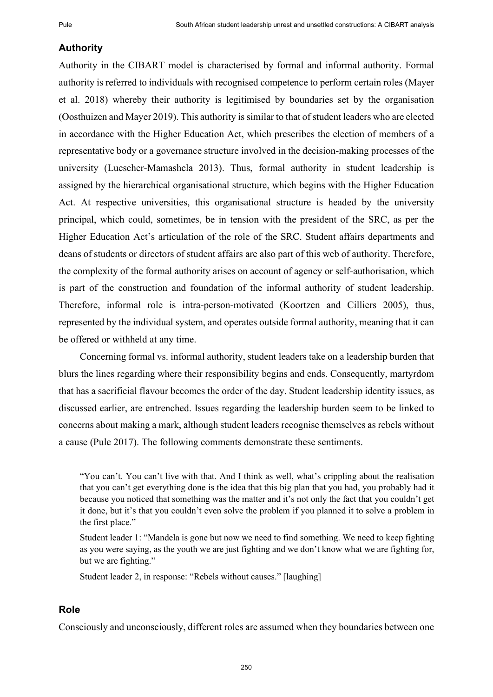## **Authority**

Authority in the CIBART model is characterised by formal and informal authority. Formal authority is referred to individuals with recognised competence to perform certain roles (Mayer et al. 2018) whereby their authority is legitimised by boundaries set by the organisation (Oosthuizen and Mayer 2019). This authority is similar to that of student leaders who are elected in accordance with the Higher Education Act, which prescribes the election of members of a representative body or a governance structure involved in the decision-making processes of the university (Luescher-Mamashela 2013). Thus, formal authority in student leadership is assigned by the hierarchical organisational structure, which begins with the Higher Education Act. At respective universities, this organisational structure is headed by the university principal, which could, sometimes, be in tension with the president of the SRC, as per the Higher Education Act's articulation of the role of the SRC. Student affairs departments and deans of students or directors of student affairs are also part of this web of authority. Therefore, the complexity of the formal authority arises on account of agency or self-authorisation, which is part of the construction and foundation of the informal authority of student leadership. Therefore, informal role is intra-person-motivated (Koortzen and Cilliers 2005), thus, represented by the individual system, and operates outside formal authority, meaning that it can be offered or withheld at any time.

Concerning formal vs. informal authority, student leaders take on a leadership burden that blurs the lines regarding where their responsibility begins and ends. Consequently, martyrdom that has a sacrificial flavour becomes the order of the day. Student leadership identity issues, as discussed earlier, are entrenched. Issues regarding the leadership burden seem to be linked to concerns about making a mark, although student leaders recognise themselves as rebels without a cause (Pule 2017). The following comments demonstrate these sentiments.

Student leader 2, in response: "Rebels without causes." [laughing]

### **Role**

Consciously and unconsciously, different roles are assumed when they boundaries between one

<sup>&</sup>quot;You can't. You can't live with that. And I think as well, what's crippling about the realisation that you can't get everything done is the idea that this big plan that you had, you probably had it because you noticed that something was the matter and it's not only the fact that you couldn't get it done, but it's that you couldn't even solve the problem if you planned it to solve a problem in the first place."

Student leader 1: "Mandela is gone but now we need to find something. We need to keep fighting as you were saying, as the youth we are just fighting and we don't know what we are fighting for, but we are fighting."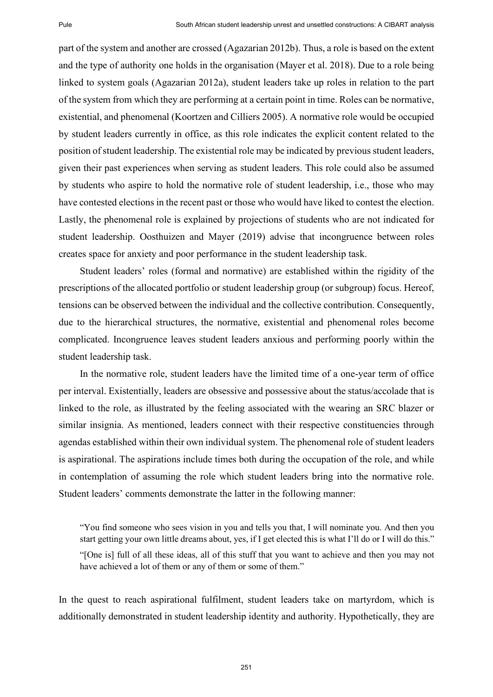part of the system and another are crossed (Agazarian 2012b). Thus, a role is based on the extent and the type of authority one holds in the organisation (Mayer et al. 2018). Due to a role being linked to system goals (Agazarian 2012a), student leaders take up roles in relation to the part of the system from which they are performing at a certain point in time. Roles can be normative, existential, and phenomenal (Koortzen and Cilliers 2005). A normative role would be occupied by student leaders currently in office, as this role indicates the explicit content related to the position of student leadership. The existential role may be indicated by previous student leaders, given their past experiences when serving as student leaders. This role could also be assumed by students who aspire to hold the normative role of student leadership, i.e., those who may have contested elections in the recent past or those who would have liked to contest the election. Lastly, the phenomenal role is explained by projections of students who are not indicated for student leadership. Oosthuizen and Mayer (2019) advise that incongruence between roles creates space for anxiety and poor performance in the student leadership task.

Student leaders' roles (formal and normative) are established within the rigidity of the prescriptions of the allocated portfolio or student leadership group (or subgroup) focus. Hereof, tensions can be observed between the individual and the collective contribution. Consequently, due to the hierarchical structures, the normative, existential and phenomenal roles become complicated. Incongruence leaves student leaders anxious and performing poorly within the student leadership task.

In the normative role, student leaders have the limited time of a one-year term of office per interval. Existentially, leaders are obsessive and possessive about the status/accolade that is linked to the role, as illustrated by the feeling associated with the wearing an SRC blazer or similar insignia. As mentioned, leaders connect with their respective constituencies through agendas established within their own individual system. The phenomenal role of student leaders is aspirational. The aspirations include times both during the occupation of the role, and while in contemplation of assuming the role which student leaders bring into the normative role. Student leaders' comments demonstrate the latter in the following manner:

"You find someone who sees vision in you and tells you that, I will nominate you. And then you start getting your own little dreams about, yes, if I get elected this is what I'll do or I will do this." "[One is] full of all these ideas, all of this stuff that you want to achieve and then you may not have achieved a lot of them or any of them or some of them."

In the quest to reach aspirational fulfilment, student leaders take on martyrdom, which is additionally demonstrated in student leadership identity and authority. Hypothetically, they are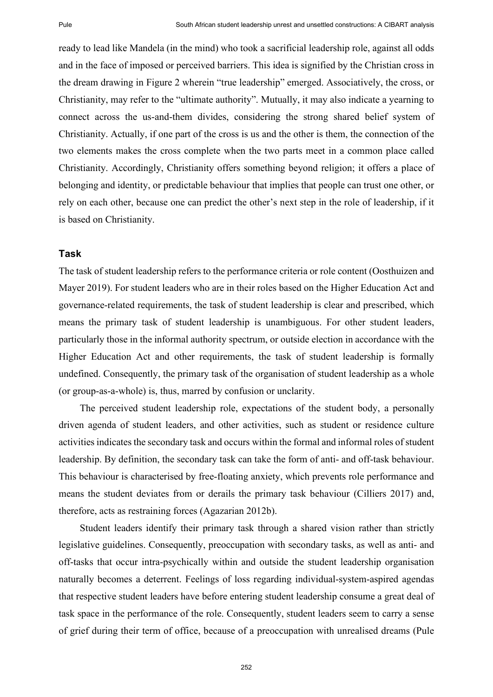ready to lead like Mandela (in the mind) who took a sacrificial leadership role, against all odds and in the face of imposed or perceived barriers. This idea is signified by the Christian cross in the dream drawing in Figure 2 wherein "true leadership" emerged. Associatively, the cross, or Christianity, may refer to the "ultimate authority". Mutually, it may also indicate a yearning to connect across the us-and-them divides, considering the strong shared belief system of Christianity. Actually, if one part of the cross is us and the other is them, the connection of the two elements makes the cross complete when the two parts meet in a common place called Christianity. Accordingly, Christianity offers something beyond religion; it offers a place of belonging and identity, or predictable behaviour that implies that people can trust one other, or rely on each other, because one can predict the other's next step in the role of leadership, if it is based on Christianity.

## **Task**

The task of student leadership refers to the performance criteria or role content (Oosthuizen and Mayer 2019). For student leaders who are in their roles based on the Higher Education Act and governance-related requirements, the task of student leadership is clear and prescribed, which means the primary task of student leadership is unambiguous. For other student leaders, particularly those in the informal authority spectrum, or outside election in accordance with the Higher Education Act and other requirements, the task of student leadership is formally undefined. Consequently, the primary task of the organisation of student leadership as a whole (or group-as-a-whole) is, thus, marred by confusion or unclarity.

The perceived student leadership role, expectations of the student body, a personally driven agenda of student leaders, and other activities, such as student or residence culture activities indicates the secondary task and occurs within the formal and informal roles of student leadership. By definition, the secondary task can take the form of anti- and off-task behaviour. This behaviour is characterised by free-floating anxiety, which prevents role performance and means the student deviates from or derails the primary task behaviour (Cilliers 2017) and, therefore, acts as restraining forces (Agazarian 2012b).

Student leaders identify their primary task through a shared vision rather than strictly legislative guidelines. Consequently, preoccupation with secondary tasks, as well as anti- and off-tasks that occur intra-psychically within and outside the student leadership organisation naturally becomes a deterrent. Feelings of loss regarding individual-system-aspired agendas that respective student leaders have before entering student leadership consume a great deal of task space in the performance of the role. Consequently, student leaders seem to carry a sense of grief during their term of office, because of a preoccupation with unrealised dreams (Pule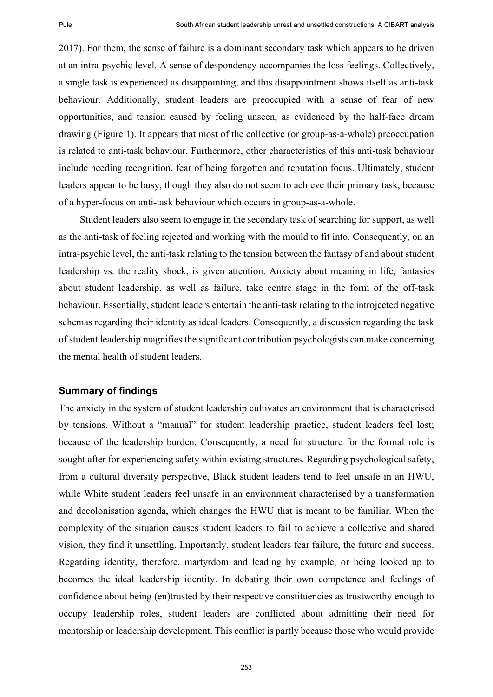2017). For them, the sense of failure is a dominant secondary task which appears to be driven at an intra-psychic level. A sense of despondency accompanies the loss feelings. Collectively, a single task is experienced as disappointing, and this disappointment shows itself as anti-task behaviour. Additionally, student leaders are preoccupied with a sense of fear of new opportunities, and tension caused by feeling unseen, as evidenced by the half-face dream drawing (Figure 1). It appears that most of the collective (or group-as-a-whole) preoccupation is related to anti-task behaviour. Furthermore, other characteristics of this anti-task behaviour include needing recognition, fear of being forgotten and reputation focus. Ultimately, student leaders appear to be busy, though they also do not seem to achieve their primary task, because of a hyper-focus on anti-task behaviour which occurs in group-as-a-whole.

Student leaders also seem to engage in the secondary task of searching for support, as well as the anti-task of feeling rejected and working with the mould to fit into. Consequently, on an intra-psychic level, the anti-task relating to the tension between the fantasy of and about student leadership vs. the reality shock, is given attention. Anxiety about meaning in life, fantasies about student leadership, as well as failure, take centre stage in the form of the off-task behaviour. Essentially, student leaders entertain the anti-task relating to the introjected negative schemas regarding their identity as ideal leaders. Consequently, a discussion regarding the task of student leadership magnifies the significant contribution psychologists can make concerning the mental health of student leaders.

#### **Summary of findings**

The anxiety in the system of student leadership cultivates an environment that is characterised by tensions. Without a "manual" for student leadership practice, student leaders feel lost; because of the leadership burden. Consequently, a need for structure for the formal role is sought after for experiencing safety within existing structures. Regarding psychological safety, from a cultural diversity perspective, Black student leaders tend to feel unsafe in an HWU, while White student leaders feel unsafe in an environment characterised by a transformation and decolonisation agenda, which changes the HWU that is meant to be familiar. When the complexity of the situation causes student leaders to fail to achieve a collective and shared vision, they find it unsettling. Importantly, student leaders fear failure, the future and success. Regarding identity, therefore, martyrdom and leading by example, or being looked up to becomes the ideal leadership identity. In debating their own competence and feelings of confidence about being (en)trusted by their respective constituencies as trustworthy enough to occupy leadership roles, student leaders are conflicted about admitting their need for mentorship or leadership development. This conflict is partly because those who would provide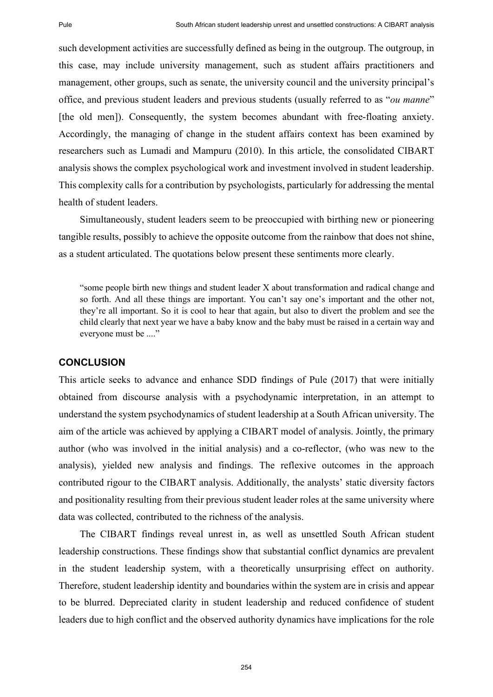such development activities are successfully defined as being in the outgroup. The outgroup, in this case, may include university management, such as student affairs practitioners and management, other groups, such as senate, the university council and the university principal's office, and previous student leaders and previous students (usually referred to as "*ou manne*" [the old men]). Consequently, the system becomes abundant with free-floating anxiety. Accordingly, the managing of change in the student affairs context has been examined by researchers such as Lumadi and Mampuru (2010). In this article, the consolidated CIBART analysis shows the complex psychological work and investment involved in student leadership. This complexity calls for a contribution by psychologists, particularly for addressing the mental health of student leaders.

Simultaneously, student leaders seem to be preoccupied with birthing new or pioneering tangible results, possibly to achieve the opposite outcome from the rainbow that does not shine, as a student articulated. The quotations below present these sentiments more clearly.

"some people birth new things and student leader X about transformation and radical change and so forth. And all these things are important. You can't say one's important and the other not, they're all important. So it is cool to hear that again, but also to divert the problem and see the child clearly that next year we have a baby know and the baby must be raised in a certain way and everyone must be ...."

### **CONCLUSION**

This article seeks to advance and enhance SDD findings of Pule (2017) that were initially obtained from discourse analysis with a psychodynamic interpretation, in an attempt to understand the system psychodynamics of student leadership at a South African university. The aim of the article was achieved by applying a CIBART model of analysis. Jointly, the primary author (who was involved in the initial analysis) and a co-reflector, (who was new to the analysis), yielded new analysis and findings. The reflexive outcomes in the approach contributed rigour to the CIBART analysis. Additionally, the analysts' static diversity factors and positionality resulting from their previous student leader roles at the same university where data was collected, contributed to the richness of the analysis.

The CIBART findings reveal unrest in, as well as unsettled South African student leadership constructions. These findings show that substantial conflict dynamics are prevalent in the student leadership system, with a theoretically unsurprising effect on authority. Therefore, student leadership identity and boundaries within the system are in crisis and appear to be blurred. Depreciated clarity in student leadership and reduced confidence of student leaders due to high conflict and the observed authority dynamics have implications for the role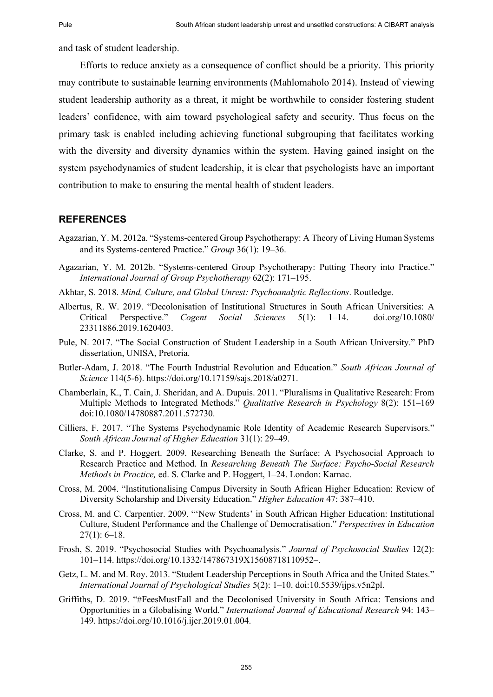and task of student leadership.

Efforts to reduce anxiety as a consequence of conflict should be a priority. This priority may contribute to sustainable learning environments (Mahlomaholo 2014). Instead of viewing student leadership authority as a threat, it might be worthwhile to consider fostering student leaders' confidence, with aim toward psychological safety and security. Thus focus on the primary task is enabled including achieving functional subgrouping that facilitates working with the diversity and diversity dynamics within the system. Having gained insight on the system psychodynamics of student leadership, it is clear that psychologists have an important contribution to make to ensuring the mental health of student leaders.

## **REFERENCES**

- Agazarian, Y. M. 2012a. "Systems-centered Group Psychotherapy: A Theory of Living Human Systems and its Systems-centered Practice." *Group* 36(1): 19–36.
- Agazarian, Y. M. 2012b. "Systems-centered Group Psychotherapy: Putting Theory into Practice." *International Journal of Group Psychotherapy* 62(2): 171–195.
- Akhtar, S. 2018. *Mind, Culture, and Global Unrest: Psychoanalytic Reflections*. Routledge.
- Albertus, R. W. 2019. "Decolonisation of Institutional Structures in South African Universities: A Critical Perspective." *Cogent Social Sciences* 5(1): 1–14. doi.org/10.1080/ 23311886.2019.1620403.
- Pule, N. 2017. "The Social Construction of Student Leadership in a South African University." PhD dissertation, UNISA, Pretoria.
- Butler-Adam, J. 2018. "The Fourth Industrial Revolution and Education." *South African Journal of Science* 114(5-6). https://doi.org/10.17159/sajs.2018/a0271.
- Chamberlain, K., T. Cain, J. Sheridan, and A. Dupuis. 2011. "Pluralisms in Qualitative Research: From Multiple Methods to Integrated Methods." *Qualitative Research in Psychology* 8(2): 151–169 doi:10.1080/14780887.2011.572730.
- Cilliers, F. 2017. "The Systems Psychodynamic Role Identity of Academic Research Supervisors." *South African Journal of Higher Education* 31(1): 29–49.
- Clarke, S. and P. Hoggert. 2009. Researching Beneath the Surface: A Psychosocial Approach to Research Practice and Method. In *Researching Beneath The Surface: Psycho-Social Research Methods in Practice,* ed. S. Clarke and P. Hoggert, 1–24. London: Karnac.
- Cross, M. 2004. "Institutionalising Campus Diversity in South African Higher Education: Review of Diversity Scholarship and Diversity Education." *Higher Education* 47: 387–410.
- Cross, M. and C. Carpentier. 2009. "'New Students' in South African Higher Education: Institutional Culture, Student Performance and the Challenge of Democratisation." *Perspectives in Education*  $27(1): 6-18.$
- Frosh, S. 2019. "Psychosocial Studies with Psychoanalysis." *Journal of Psychosocial Studies* 12(2): 101–114. https://doi.org/10.1332/147867319X15608718110952–.
- Getz, L. M. and M. Roy. 2013. "Student Leadership Perceptions in South Africa and the United States." *International Journal of Psychological Studies* 5(2): 1–10. doi:10.5539/ijps.v5n2pl.
- Griffiths, D. 2019. "#FeesMustFall and the Decolonised University in South Africa: Tensions and Opportunities in a Globalising World." *International Journal of Educational Research* 94: 143– 149. https://doi.org/10.1016/j.ijer.2019.01.004.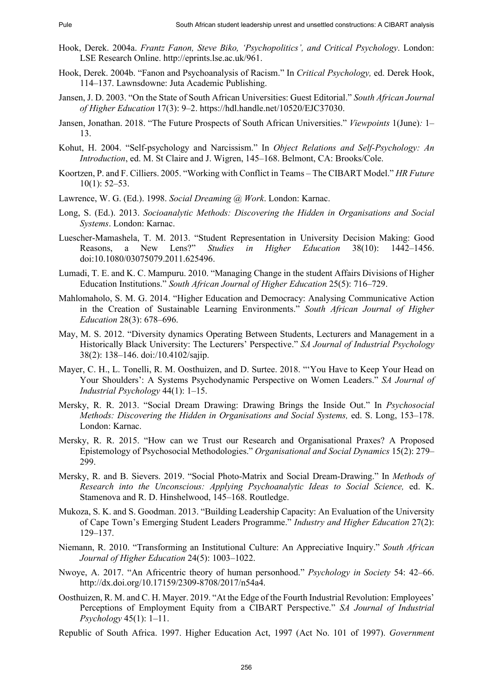- Hook, Derek. 2004a. *Frantz Fanon, Steve Biko, 'Psychopolitics', and Critical Psychology*. London: LSE Research Online. http://eprints.lse.ac.uk/961.
- Hook, Derek. 2004b. "Fanon and Psychoanalysis of Racism." In *Critical Psychology,* ed. Derek Hook, 114–137. Lawnsdowne: Juta Academic Publishing.
- Jansen, J. D. 2003. "On the State of South African Universities: Guest Editorial." *South African Journal of Higher Education* 17(3): 9–2. https://hdl.handle.net/10520/EJC37030.
- Jansen, Jonathan. 2018. "The Future Prospects of South African Universities." *Viewpoints* 1(June)*:* 1– 13.
- Kohut, H. 2004. "Self-psychology and Narcissism." In *Object Relations and Self-Psychology: An Introduction*, ed. M. St Claire and J. Wigren, 145–168. Belmont, CA: Brooks/Cole.
- Koortzen, P. and F. Cilliers. 2005. "Working with Conflict in Teams The CIBART Model." *HR Future*  $10(1)$ : 52–53.
- Lawrence, W. G. (Ed.). 1998. *Social Dreaming @ Work*. London: Karnac.
- Long, S. (Ed.). 2013. *Socioanalytic Methods: Discovering the Hidden in Organisations and Social Systems*. London: Karnac.
- Luescher-Mamashela, T. M. 2013. "Student Representation in University Decision Making: Good Reasons, a New Lens?" *Studies in Higher Education* 38(10): 1442–1456. doi:10.1080/03075079.2011.625496.
- Lumadi, T. E. and K. C. Mampuru. 2010. "Managing Change in the student Affairs Divisions of Higher Education Institutions." *South African Journal of Higher Education* 25(5): 716–729.
- Mahlomaholo, S. M. G. 2014. "Higher Education and Democracy: Analysing Communicative Action in the Creation of Sustainable Learning Environments." *South African Journal of Higher Education* 28(3): 678–696.
- May, M. S. 2012. "Diversity dynamics Operating Between Students, Lecturers and Management in a Historically Black University: The Lecturers' Perspective." *SA Journal of Industrial Psychology* 38(2): 138–146. doi:/10.4102/sajip.
- Mayer, C. H., L. Tonelli, R. M. Oosthuizen, and D. Surtee. 2018. "'You Have to Keep Your Head on Your Shoulders': A Systems Psychodynamic Perspective on Women Leaders." *SA Journal of Industrial Psychology* 44(1): 1–15.
- Mersky, R. R. 2013. "Social Dream Drawing: Drawing Brings the Inside Out." In *Psychosocial Methods: Discovering the Hidden in Organisations and Social Systems,* ed. S. Long, 153–178. London: Karnac.
- Mersky, R. R. 2015. "How can we Trust our Research and Organisational Praxes? A Proposed Epistemology of Psychosocial Methodologies." *Organisational and Social Dynamics* 15(2): 279– 299.
- Mersky, R. and B. Sievers. 2019. "Social Photo-Matrix and Social Dream-Drawing." In *Methods of Research into the Unconscious: Applying Psychoanalytic Ideas to Social Science,* ed. K. Stamenova and R. D. Hinshelwood, 145–168. Routledge.
- Mukoza, S. K. and S. Goodman. 2013. "Building Leadership Capacity: An Evaluation of the University of Cape Town's Emerging Student Leaders Programme." *Industry and Higher Education* 27(2): 129–137.
- Niemann, R. 2010. "Transforming an Institutional Culture: An Appreciative Inquiry." *South African Journal of Higher Education* 24(5): 1003–1022.
- Nwoye, A. 2017. "An Africentric theory of human personhood." *Psychology in Society* 54: 42–66. http://dx.doi.org/10.17159/2309-8708/2017/n54a4.
- Oosthuizen, R. M. and C. H. Mayer. 2019. "At the Edge of the Fourth Industrial Revolution: Employees' Perceptions of Employment Equity from a CIBART Perspective." *SA Journal of Industrial Psychology* 45(1): 1–11.
- Republic of South Africa. 1997. Higher Education Act, 1997 (Act No. 101 of 1997). *Government*